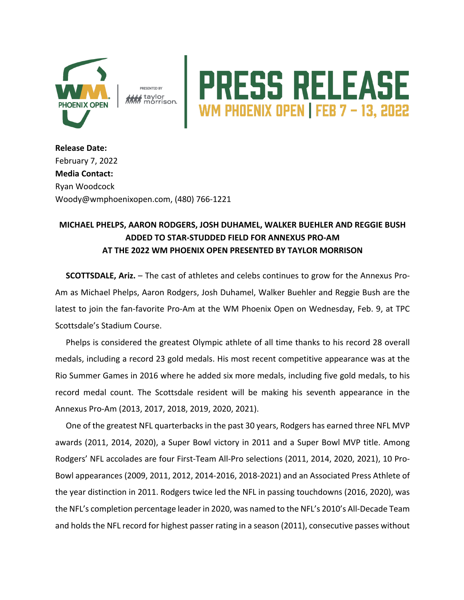

i taylor<br><sup>I</sup> morrison.

## **RESS RELEASE**

**Release Date:**  February 7, 2022 **Media Contact:**  Ryan Woodcock Woody@wmphoenixopen.com, (480) 766-1221

## **MICHAEL PHELPS, AARON RODGERS, JOSH DUHAMEL, WALKER BUEHLER AND REGGIE BUSH ADDED TO STAR-STUDDED FIELD FOR ANNEXUS PRO-AM AT THE 2022 WM PHOENIX OPEN PRESENTED BY TAYLOR MORRISON**

**SCOTTSDALE, Ariz.** – The cast of athletes and celebs continues to grow for the Annexus Pro-Am as Michael Phelps, Aaron Rodgers, Josh Duhamel, Walker Buehler and Reggie Bush are the latest to join the fan-favorite Pro-Am at the WM Phoenix Open on Wednesday, Feb. 9, at TPC Scottsdale's Stadium Course.

Phelps is considered the greatest Olympic athlete of all time thanks to his record 28 overall medals, including a record 23 gold medals. His most recent competitive appearance was at the Rio Summer Games in 2016 where he added six more medals, including five gold medals, to his record medal count. The Scottsdale resident will be making his seventh appearance in the Annexus Pro-Am (2013, 2017, 2018, 2019, 2020, 2021).

One of the greatest NFL quarterbacks in the past 30 years, Rodgers has earned three NFL MVP awards (2011, 2014, 2020), a Super Bowl victory in 2011 and a Super Bowl MVP title. Among Rodgers' NFL accolades are four First-Team All-Pro selections (2011, 2014, 2020, 2021), 10 Pro-Bowl appearances (2009, 2011, 2012, 2014-2016, 2018-2021) and an Associated Press Athlete of the year distinction in 2011. Rodgers twice led the NFL in passing touchdowns (2016, 2020), was the NFL's completion percentage leader in 2020, was named to the NFL's 2010's All-Decade Team and holds the NFL record for highest passer rating in a season (2011), consecutive passes without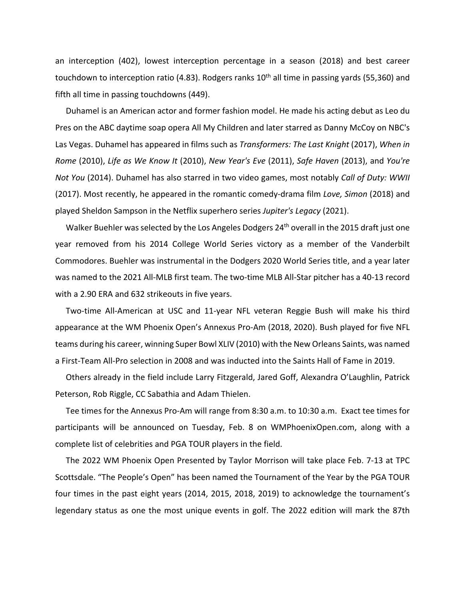an interception (402), lowest interception percentage in a season (2018) and best career touchdown to interception ratio (4.83). Rodgers ranks  $10<sup>th</sup>$  all time in passing yards (55,360) and fifth all time in passing touchdowns (449).

Duhamel is an American actor and former fashion model. He made his acting debut as Leo du Pres on the ABC daytime soap opera All My Children and later starred as Danny McCoy on NBC's Las Vegas. Duhamel has appeared in films such as *Transformers: The Last Knight* (2017), *When in Rome* (2010), *Life as We Know It* (2010), *New Year's Eve* (2011), *Safe Haven* (2013), and *You're Not You* (2014). Duhamel has also starred in two video games, most notably *Call of Duty: WWII* (2017). Most recently, he appeared in the romantic comedy-drama film *Love, Simon* (2018) and played Sheldon Sampson in the Netflix superhero series *Jupiter's Legacy* (2021).

Walker Buehler was selected by the Los Angeles Dodgers 24<sup>th</sup> overall in the 2015 draft just one year removed from his 2014 College World Series victory as a member of the Vanderbilt Commodores. Buehler was instrumental in the Dodgers 2020 World Series title, and a year later was named to the 2021 All-MLB first team. The two-time MLB All-Star pitcher has a 40-13 record with a 2.90 ERA and 632 strikeouts in five years.

Two-time All-American at USC and 11-year NFL veteran Reggie Bush will make his third appearance at the WM Phoenix Open's Annexus Pro-Am (2018, 2020). Bush played for five NFL teams during his career, winning Super Bowl XLIV (2010) with the New Orleans Saints, was named a First-Team All-Pro selection in 2008 and was inducted into the Saints Hall of Fame in 2019.

Others already in the field include Larry Fitzgerald, Jared Goff, Alexandra O'Laughlin, Patrick Peterson, Rob Riggle, CC Sabathia and Adam Thielen.

Tee times for the Annexus Pro-Am will range from 8:30 a.m. to 10:30 a.m. Exact tee times for participants will be announced on Tuesday, Feb. 8 on WMPhoenixOpen.com, along with a complete list of celebrities and PGA TOUR players in the field.

The 2022 WM Phoenix Open Presented by Taylor Morrison will take place Feb. 7-13 at TPC Scottsdale. "The People's Open" has been named the Tournament of the Year by the PGA TOUR four times in the past eight years (2014, 2015, 2018, 2019) to acknowledge the tournament's legendary status as one the most unique events in golf. The 2022 edition will mark the 87th